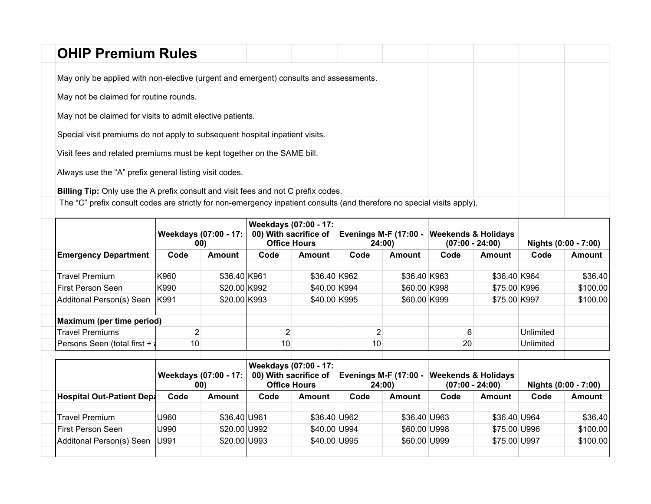|                                                           | <b>OHIP Premium Rules</b>                                                                                               |  |  |  |  |  |  |  |  |  |  |
|-----------------------------------------------------------|-------------------------------------------------------------------------------------------------------------------------|--|--|--|--|--|--|--|--|--|--|
|                                                           | May only be applied with non-elective (urgent and emergent) consults and assessments.                                   |  |  |  |  |  |  |  |  |  |  |
| May not be claimed for routine rounds.                    |                                                                                                                         |  |  |  |  |  |  |  |  |  |  |
| May not be claimed for visits to admit elective patients. |                                                                                                                         |  |  |  |  |  |  |  |  |  |  |
|                                                           | Special visit premiums do not apply to subsequent hospital inpatient visits.                                            |  |  |  |  |  |  |  |  |  |  |
|                                                           | Visit fees and related premiums must be kept together on the SAME bill.                                                 |  |  |  |  |  |  |  |  |  |  |
|                                                           | Always use the "A" prefix general listing visit codes.                                                                  |  |  |  |  |  |  |  |  |  |  |
|                                                           | Billing Tip: Only use the A prefix consult and visit fees and not C prefix codes.                                       |  |  |  |  |  |  |  |  |  |  |
|                                                           | The "C" prefix consult codes are strictly for non-emergency inpatient consults (and therefore no special visits apply). |  |  |  |  |  |  |  |  |  |  |

|                                           | Weekdays (07:00 - 17:<br>00) |               | Weekdays (07:00 - 17:<br>00) With sacrifice of<br><b>Office Hours</b> |               | Evenings M-F (17:00 - Weekends & Holidays<br>24:00) |               | $(07:00 - 24:00)$                                   |               | Nights (0:00 - 7:00) |               |
|-------------------------------------------|------------------------------|---------------|-----------------------------------------------------------------------|---------------|-----------------------------------------------------|---------------|-----------------------------------------------------|---------------|----------------------|---------------|
| <b>Emergency Department</b>               | Code                         | <b>Amount</b> | Code                                                                  | Amount        | Code                                                | Amount        | Code                                                | Amount        | Code                 | <b>Amount</b> |
| <b>Travel Premium</b>                     | K960                         | \$36.40 K961  |                                                                       | \$36.40 K962  |                                                     | \$36.40 K963  |                                                     | \$36.40 K964  |                      | \$36.40       |
| First Person Seen                         | K990                         | \$20.00 K992  |                                                                       | \$40.00 K994  |                                                     | \$60.00 K998  |                                                     | \$75.00 K996  |                      | \$100.00      |
| Additonal Person(s) Seen                  | K991                         | \$20.00 K993  |                                                                       | \$40.00 K995  |                                                     | \$60.00 K999  |                                                     | \$75.00 K997  |                      | \$100.00      |
| Maximum (per time period)                 |                              |               |                                                                       |               |                                                     |               |                                                     |               |                      |               |
| <b>Travel Premiums</b>                    | 2                            |               |                                                                       |               | 2                                                   |               | 6                                                   |               | Unlimited            |               |
| Persons Seen (total first + $\frac{1}{3}$ | 10                           |               | 10                                                                    |               | 10                                                  |               | 20                                                  |               | Unlimited            |               |
|                                           | Weekdays (07:00 - 17:<br>00) |               | Weekdays (07:00 - 17:<br>00) With sacrifice of<br><b>Office Hours</b> |               | <b>Evenings M-F (17:00 -</b><br>24:00)              |               | <b>Weekends &amp; Holidays</b><br>$(07:00 - 24:00)$ |               | Nights (0:00 - 7:00) |               |
| Hospital Out-Patient Dep                  | Code                         | <b>Amount</b> | Code                                                                  | <b>Amount</b> | Code                                                | <b>Amount</b> | Code                                                | <b>Amount</b> | Code                 | <b>Amount</b> |
| <b>Travel Premium</b>                     | U960                         | \$36.40 U961  |                                                                       | \$36.40 U962  |                                                     | \$36.40 U963  |                                                     | \$36.40 U964  |                      | \$36.40       |
| First Person Seen                         | U990                         | \$20.00 U992  |                                                                       | \$40.00 U994  |                                                     | \$60.00 U998  |                                                     | \$75.00 U996  |                      | \$100.00      |
| Additonal Person(s) Seen                  | U991                         | \$20.00 U993  |                                                                       | \$40.00 U995  |                                                     | \$60.00 U999  |                                                     | \$75.00 U997  |                      | \$100.00      |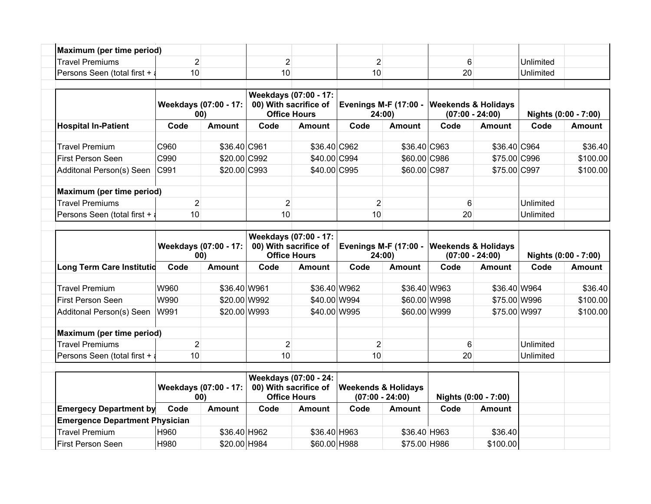| Maximum (per time period)             |                              |               |                                                                       |               |                                                     |               |                                                     |               |                      |               |
|---------------------------------------|------------------------------|---------------|-----------------------------------------------------------------------|---------------|-----------------------------------------------------|---------------|-----------------------------------------------------|---------------|----------------------|---------------|
| <b>Travel Premiums</b>                | $\overline{2}$               |               | $\overline{2}$                                                        |               | $\overline{2}$                                      |               | 6                                                   |               | Unlimited            |               |
| Persons Seen (total first +           | 10                           |               | 10                                                                    |               | 10                                                  |               | 20                                                  |               | Unlimited            |               |
|                                       | Weekdays (07:00 - 17:<br>00) |               | Weekdays (07:00 - 17:<br>00) With sacrifice of<br><b>Office Hours</b> |               | <b>Evenings M-F (17:00 -</b><br>24:00)              |               | <b>Weekends &amp; Holidays</b><br>$(07:00 - 24:00)$ |               | Nights (0:00 - 7:00) |               |
| <b>Hospital In-Patient</b>            | Code                         | Amount        | Code                                                                  | <b>Amount</b> | Code                                                | <b>Amount</b> | Code                                                | <b>Amount</b> | Code                 | Amount        |
| <b>Travel Premium</b>                 | C960                         | \$36.40 C961  |                                                                       | \$36.40 C962  |                                                     | \$36.40 C963  |                                                     | \$36.40 C964  |                      | \$36.40       |
| <b>First Person Seen</b>              | C990                         | \$20.00 C992  |                                                                       | \$40.00 C994  |                                                     | \$60.00 C986  |                                                     | \$75.00 C996  |                      | \$100.00      |
| Additonal Person(s) Seen              | C991                         | \$20.00 C993  |                                                                       | \$40.00 C995  |                                                     | \$60.00 C987  |                                                     | \$75.00 C997  |                      | \$100.00      |
| Maximum (per time period)             |                              |               |                                                                       |               |                                                     |               |                                                     |               |                      |               |
| <b>Travel Premiums</b>                | $\overline{c}$               |               | $\overline{2}$                                                        |               | $\overline{2}$                                      |               | 6                                                   |               | Unlimited            |               |
| Persons Seen (total first +           | 10                           |               | 10                                                                    |               | 10                                                  |               | 20                                                  |               | Unlimited            |               |
|                                       | Weekdays (07:00 - 17:<br>00) |               | Weekdays (07:00 - 17:<br>00) With sacrifice of<br><b>Office Hours</b> |               | <b>Evenings M-F (17:00 -</b><br>24:00               |               | <b>Weekends &amp; Holidays</b><br>$(07:00 - 24:00)$ |               | Nights (0:00 - 7:00) |               |
| <b>Long Term Care Institutid</b>      | Code                         | Amount        | Code                                                                  | <b>Amount</b> | Code                                                | <b>Amount</b> | Code                                                | <b>Amount</b> | Code                 | <b>Amount</b> |
| <b>Travel Premium</b>                 | W960                         | \$36.40 W961  |                                                                       | \$36.40 W962  |                                                     | \$36.40 W963  |                                                     | \$36.40 W964  |                      | \$36.40       |
| First Person Seen                     | W990                         | \$20.00 W992  |                                                                       | \$40.00 W994  |                                                     | \$60.00 W998  |                                                     | \$75.00 W996  |                      | \$100.00      |
| Additonal Person(s) Seen              | W991                         | \$20.00 W993  |                                                                       | \$40.00 W995  |                                                     | \$60.00 W999  |                                                     | \$75.00 W997  |                      | \$100.00      |
| Maximum (per time period)             |                              |               |                                                                       |               |                                                     |               |                                                     |               |                      |               |
| <b>Travel Premiums</b>                | $\overline{2}$               |               | $\overline{2}$                                                        |               | $\overline{2}$                                      |               | 6                                                   |               | Unlimited            |               |
| Persons Seen (total first +           | 10                           |               | 10                                                                    |               | 10                                                  |               | 20                                                  |               | Unlimited            |               |
|                                       | Weekdays (07:00 - 17:<br>00) |               | Weekdays (07:00 - 24:<br>00) With sacrifice of<br><b>Office Hours</b> |               | <b>Weekends &amp; Holidays</b><br>$(07:00 - 24:00)$ |               | Nights (0:00 - 7:00)                                |               |                      |               |
| <b>Emergecy Department by</b>         | Code                         | <b>Amount</b> | Code                                                                  | <b>Amount</b> | Code                                                | <b>Amount</b> | Code                                                | <b>Amount</b> |                      |               |
| <b>Emergence Department Physician</b> |                              |               |                                                                       |               |                                                     |               |                                                     |               |                      |               |
| <b>Travel Premium</b>                 | H960                         | \$36.40 H962  |                                                                       | \$36.40 H963  |                                                     | \$36.40 H963  |                                                     | \$36.40       |                      |               |
| First Person Seen                     | H980                         | \$20.00 H984  |                                                                       | \$60.00 H988  |                                                     | \$75.00 H986  |                                                     | \$100.00      |                      |               |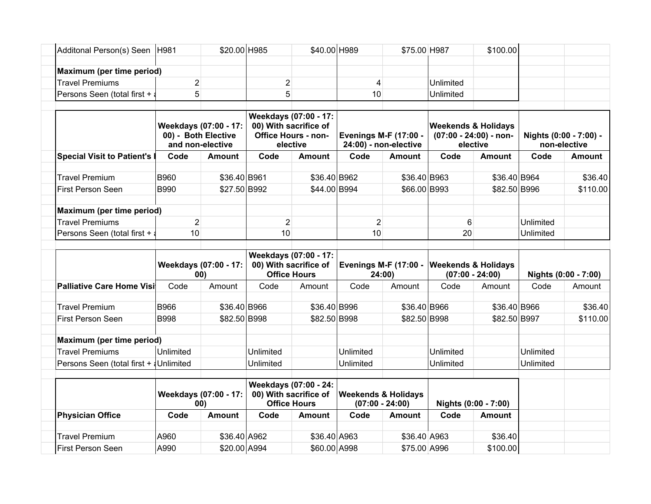| Additonal Person(s) Seen   H981              |                                         | \$20.00 H985          |                                                                                          | \$40.00 H989  |                                                       | \$75.00 H987  |                                                                      | \$100.00      |                                        |               |
|----------------------------------------------|-----------------------------------------|-----------------------|------------------------------------------------------------------------------------------|---------------|-------------------------------------------------------|---------------|----------------------------------------------------------------------|---------------|----------------------------------------|---------------|
| Maximum (per time period)                    |                                         |                       |                                                                                          |               |                                                       |               |                                                                      |               |                                        |               |
| <b>Travel Premiums</b>                       | 2                                       |                       | $\overline{c}$                                                                           |               | 4                                                     |               | Unlimited                                                            |               |                                        |               |
| Persons Seen (total first + a                | 5                                       |                       | 5                                                                                        |               | 10                                                    |               | Unlimited                                                            |               |                                        |               |
|                                              | 00) - Both Elective<br>and non-elective | Weekdays (07:00 - 17: | Weekdays (07:00 - 17:<br>00) With sacrifice of<br><b>Office Hours - non-</b><br>elective |               | <b>Evenings M-F (17:00 -</b><br>24:00) - non-elective |               | <b>Weekends &amp; Holidays</b><br>(07:00 - 24:00) - non-<br>elective |               | Nights (0:00 - 7:00) -<br>non-elective |               |
| <b>Special Visit to Patient's I</b>          | Code                                    | <b>Amount</b>         | Code                                                                                     | Amount        | Code                                                  | <b>Amount</b> | Code                                                                 | <b>Amount</b> | Code                                   | <b>Amount</b> |
| <b>Travel Premium</b>                        | <b>B960</b>                             | \$36.40 B961          |                                                                                          | \$36.40 B962  |                                                       | \$36.40 B963  |                                                                      | \$36.40 B964  |                                        | \$36.40       |
| <b>First Person Seen</b>                     | <b>B990</b>                             | \$27.50 B992          |                                                                                          | \$44.00 B994  |                                                       | \$66.00 B993  |                                                                      | \$82.50 B996  |                                        | \$110.00      |
| Maximum (per time period)                    |                                         |                       |                                                                                          |               |                                                       |               |                                                                      |               |                                        |               |
| <b>Travel Premiums</b>                       | $\overline{2}$                          |                       | $\overline{2}$                                                                           |               | $\overline{2}$                                        |               | 6                                                                    |               | Unlimited                              |               |
| Persons Seen (total first + a                | 10                                      |                       | 10                                                                                       |               | 10                                                    |               | 20                                                                   |               | Unlimited                              |               |
|                                              | Weekdays (07:00 - 17:<br>00)            |                       | Weekdays (07:00 - 17:<br>00) With sacrifice of<br><b>Office Hours</b>                    |               | <b>Evenings M-F (17:00 -</b><br>24:00)                |               | <b>Weekends &amp; Holidays</b><br>$(07:00 - 24:00)$                  |               | Nights (0:00 - 7:00)                   |               |
| <b>Palliative Care Home Visi</b>             | Code                                    | Amount                | Code                                                                                     | Amount        | Code                                                  | Amount        | Code                                                                 | Amount        | Code                                   | Amount        |
| <b>Travel Premium</b>                        | <b>B966</b>                             | \$36.40 B966          |                                                                                          | \$36.40 B996  |                                                       | \$36.40 B966  |                                                                      | \$36.40 B966  |                                        | \$36.40       |
| First Person Seen                            | <b>B998</b>                             | \$82.50 B998          |                                                                                          | \$82.50 B998  |                                                       | \$82.50 B998  |                                                                      | \$82.50 B997  |                                        | \$110.00      |
| Maximum (per time period)                    |                                         |                       |                                                                                          |               |                                                       |               |                                                                      |               |                                        |               |
| <b>Travel Premiums</b>                       | Unlimited                               |                       | Unlimited                                                                                |               | Unlimited                                             |               | Unlimited                                                            |               | Unlimited                              |               |
| Persons Seen (total first + <i>Unlimited</i> |                                         |                       | Unlimited                                                                                |               | Unlimited                                             |               | Unlimited                                                            |               | Unlimited                              |               |
|                                              | Weekdays (07:00 - 17:<br>00)            |                       | Weekdays (07:00 - 24:<br>00) With sacrifice of<br><b>Office Hours</b>                    |               | <b>Weekends &amp; Holidays</b><br>$(07:00 - 24:00)$   |               | Nights (0:00 - 7:00)                                                 |               |                                        |               |
| <b>Physician Office</b>                      | Code                                    | <b>Amount</b>         | Code                                                                                     | <b>Amount</b> | Code                                                  | <b>Amount</b> | Code                                                                 | <b>Amount</b> |                                        |               |
| <b>Travel Premium</b>                        | A960                                    | \$36.40 A962          |                                                                                          | \$36.40 A963  |                                                       | \$36.40 A963  |                                                                      | \$36.40       |                                        |               |
|                                              |                                         |                       |                                                                                          |               |                                                       |               |                                                                      |               |                                        |               |